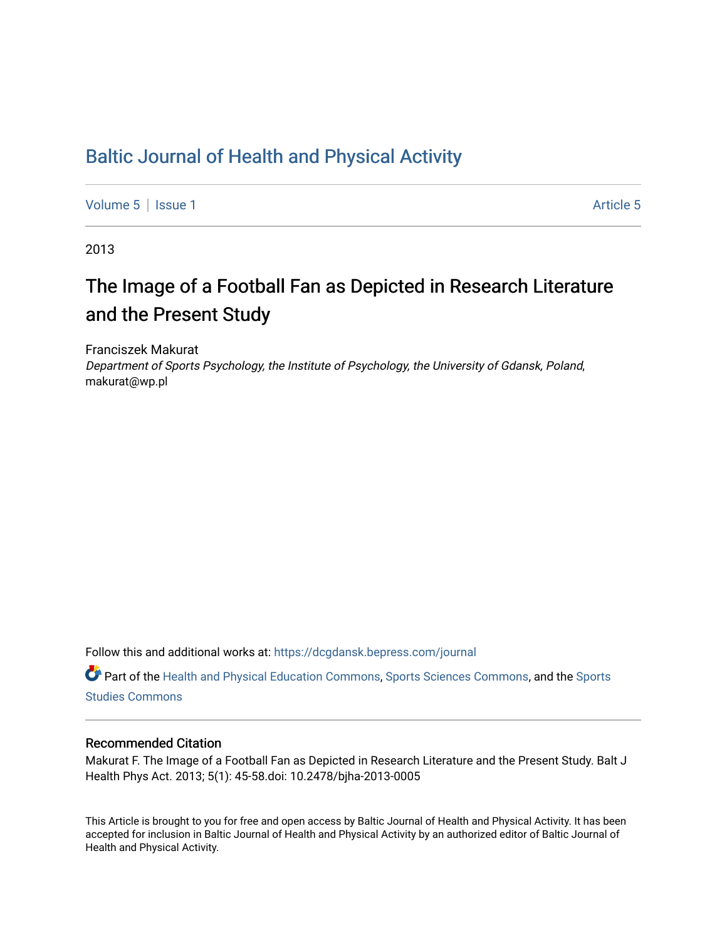# [Baltic Journal of Health and Physical Activity](https://dcgdansk.bepress.com/journal)

[Volume 5](https://dcgdansk.bepress.com/journal/vol5) | [Issue 1](https://dcgdansk.bepress.com/journal/vol5/iss1) Article 5

2013

# The Image of a Football Fan as Depicted in Research Literature and the Present Study

Franciszek Makurat

Department of Sports Psychology, the Institute of Psychology, the University of Gdansk, Poland, makurat@wp.pl

Follow this and additional works at: [https://dcgdansk.bepress.com/journal](https://dcgdansk.bepress.com/journal?utm_source=dcgdansk.bepress.com%2Fjournal%2Fvol5%2Fiss1%2F5&utm_medium=PDF&utm_campaign=PDFCoverPages)

Part of the [Health and Physical Education Commons](http://network.bepress.com/hgg/discipline/1327?utm_source=dcgdansk.bepress.com%2Fjournal%2Fvol5%2Fiss1%2F5&utm_medium=PDF&utm_campaign=PDFCoverPages), [Sports Sciences Commons](http://network.bepress.com/hgg/discipline/759?utm_source=dcgdansk.bepress.com%2Fjournal%2Fvol5%2Fiss1%2F5&utm_medium=PDF&utm_campaign=PDFCoverPages), and the [Sports](http://network.bepress.com/hgg/discipline/1198?utm_source=dcgdansk.bepress.com%2Fjournal%2Fvol5%2Fiss1%2F5&utm_medium=PDF&utm_campaign=PDFCoverPages)  [Studies Commons](http://network.bepress.com/hgg/discipline/1198?utm_source=dcgdansk.bepress.com%2Fjournal%2Fvol5%2Fiss1%2F5&utm_medium=PDF&utm_campaign=PDFCoverPages) 

#### Recommended Citation

Makurat F. The Image of a Football Fan as Depicted in Research Literature and the Present Study. Balt J Health Phys Act. 2013; 5(1): 45-58.doi: 10.2478/bjha-2013-0005

This Article is brought to you for free and open access by Baltic Journal of Health and Physical Activity. It has been accepted for inclusion in Baltic Journal of Health and Physical Activity by an authorized editor of Baltic Journal of Health and Physical Activity.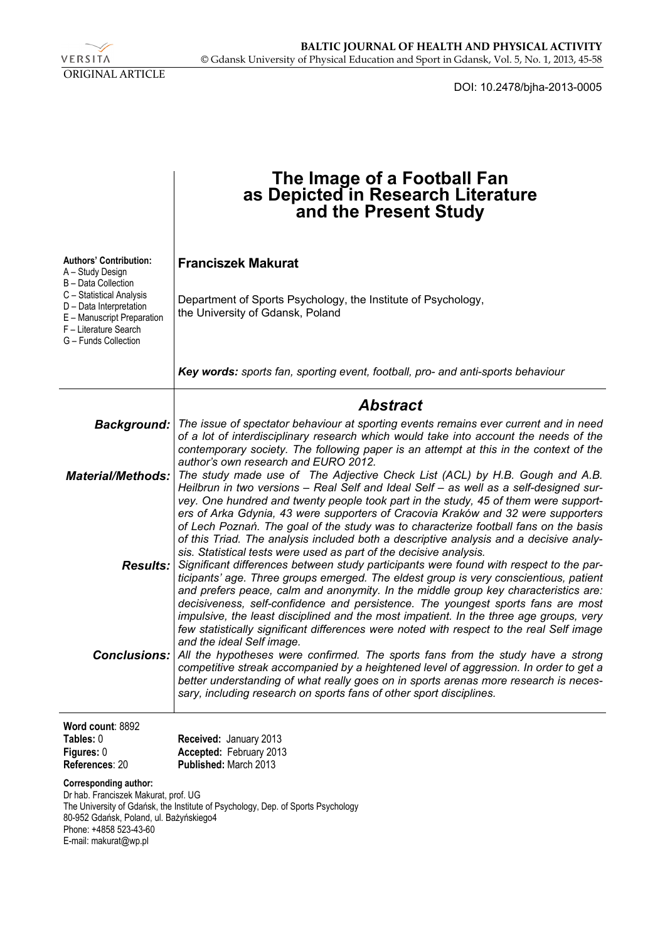

DOI: 10.2478/bjha-2013-0005

|                                                                                                                                                                                                                                                        | The Image of a Football Fan<br>as Depicted in Research Literature<br>and the Present Study                                                                                                                                                                                                                                                                                                                                                                                                                                                                                     |
|--------------------------------------------------------------------------------------------------------------------------------------------------------------------------------------------------------------------------------------------------------|--------------------------------------------------------------------------------------------------------------------------------------------------------------------------------------------------------------------------------------------------------------------------------------------------------------------------------------------------------------------------------------------------------------------------------------------------------------------------------------------------------------------------------------------------------------------------------|
| <b>Authors' Contribution:</b><br>A - Study Design                                                                                                                                                                                                      | <b>Franciszek Makurat</b>                                                                                                                                                                                                                                                                                                                                                                                                                                                                                                                                                      |
| B - Data Collection<br>C - Statistical Analysis<br>D - Data Interpretation<br>E - Manuscript Preparation<br>F - Literature Search<br>G - Funds Collection                                                                                              | Department of Sports Psychology, the Institute of Psychology,<br>the University of Gdansk, Poland                                                                                                                                                                                                                                                                                                                                                                                                                                                                              |
|                                                                                                                                                                                                                                                        | Key words: sports fan, sporting event, football, pro- and anti-sports behaviour                                                                                                                                                                                                                                                                                                                                                                                                                                                                                                |
|                                                                                                                                                                                                                                                        | <b>Abstract</b>                                                                                                                                                                                                                                                                                                                                                                                                                                                                                                                                                                |
| <b>Background:</b>                                                                                                                                                                                                                                     | The issue of spectator behaviour at sporting events remains ever current and in need<br>of a lot of interdisciplinary research which would take into account the needs of the<br>contemporary society. The following paper is an attempt at this in the context of the<br>author's own research and EURO 2012.                                                                                                                                                                                                                                                                 |
| <b>Material/Methods:</b>                                                                                                                                                                                                                               | The study made use of The Adjective Check List (ACL) by H.B. Gough and A.B.<br>Heilbrun in two versions - Real Self and Ideal Self - as well as a self-designed sur-<br>vey. One hundred and twenty people took part in the study, 45 of them were support-<br>ers of Arka Gdynia, 43 were supporters of Cracovia Kraków and 32 were supporters<br>of Lech Poznań. The goal of the study was to characterize football fans on the basis                                                                                                                                        |
| <b>Results:</b>                                                                                                                                                                                                                                        | of this Triad. The analysis included both a descriptive analysis and a decisive analy-<br>sis. Statistical tests were used as part of the decisive analysis.<br>Significant differences between study participants were found with respect to the par-<br>ticipants' age. Three groups emerged. The eldest group is very conscientious, patient<br>and prefers peace, calm and anonymity. In the middle group key characteristics are:<br>decisiveness, self-confidence and persistence. The youngest sports fans are most                                                     |
|                                                                                                                                                                                                                                                        | impulsive, the least disciplined and the most impatient. In the three age groups, very<br>few statistically significant differences were noted with respect to the real Self image<br>and the ideal Self image.<br><b>Conclusions:</b> All the hypotheses were confirmed. The sports fans from the study have a strong<br>competitive streak accompanied by a heightened level of aggression. In order to get a<br>better understanding of what really goes on in sports arenas more research is neces-<br>sary, including research on sports fans of other sport disciplines. |
| Word count: 8892<br>Tables: 0<br>Figures: 0<br>References: 20                                                                                                                                                                                          | Received: January 2013<br>Accepted: February 2013<br>Published: March 2013                                                                                                                                                                                                                                                                                                                                                                                                                                                                                                     |
| <b>Corresponding author:</b><br>Dr hab. Franciszek Makurat, prof. UG<br>The University of Gdańsk, the Institute of Psychology, Dep. of Sports Psychology<br>80-952 Gdańsk, Poland, ul. Bażyńskiego4<br>Phone: +4858 523-43-60<br>E-mail: makurat@wp.pl |                                                                                                                                                                                                                                                                                                                                                                                                                                                                                                                                                                                |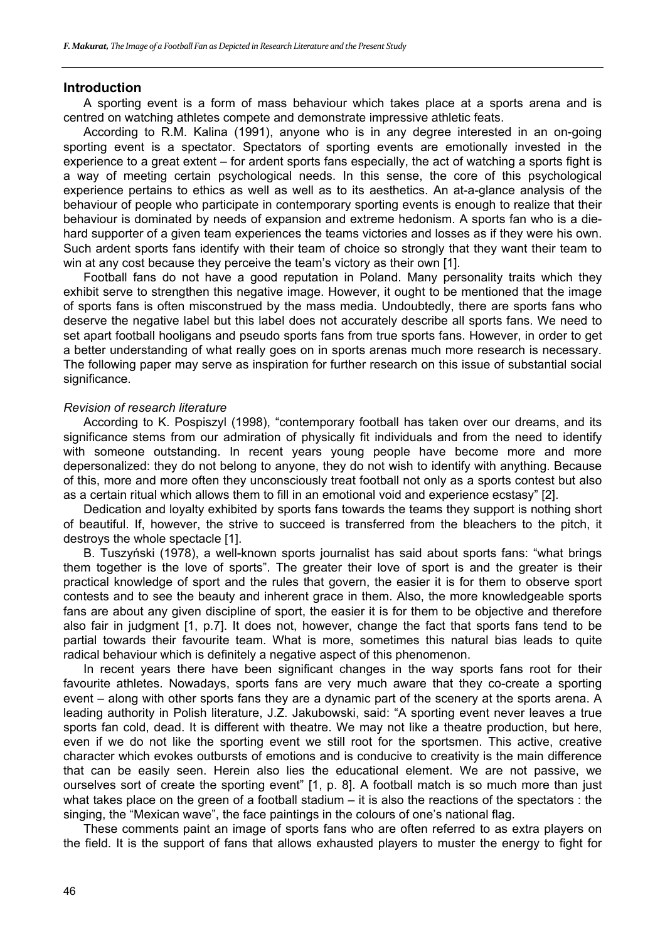#### **Introduction**

A sporting event is a form of mass behaviour which takes place at a sports arena and is centred on watching athletes compete and demonstrate impressive athletic feats.

According to R.M. Kalina (1991), anyone who is in any degree interested in an on-going sporting event is a spectator. Spectators of sporting events are emotionally invested in the experience to a great extent – for ardent sports fans especially, the act of watching a sports fight is a way of meeting certain psychological needs. In this sense, the core of this psychological experience pertains to ethics as well as well as to its aesthetics. An at-a-glance analysis of the behaviour of people who participate in contemporary sporting events is enough to realize that their behaviour is dominated by needs of expansion and extreme hedonism. A sports fan who is a diehard supporter of a given team experiences the teams victories and losses as if they were his own. Such ardent sports fans identify with their team of choice so strongly that they want their team to win at any cost because they perceive the team's victory as their own [1].

Football fans do not have a good reputation in Poland. Many personality traits which they exhibit serve to strengthen this negative image. However, it ought to be mentioned that the image of sports fans is often misconstrued by the mass media. Undoubtedly, there are sports fans who deserve the negative label but this label does not accurately describe all sports fans. We need to set apart football hooligans and pseudo sports fans from true sports fans. However, in order to get a better understanding of what really goes on in sports arenas much more research is necessary. The following paper may serve as inspiration for further research on this issue of substantial social significance.

#### *Revision of research literature*

According to K. Pospiszyl (1998), "contemporary football has taken over our dreams, and its significance stems from our admiration of physically fit individuals and from the need to identify with someone outstanding. In recent years young people have become more and more depersonalized: they do not belong to anyone, they do not wish to identify with anything. Because of this, more and more often they unconsciously treat football not only as a sports contest but also as a certain ritual which allows them to fill in an emotional void and experience ecstasy" [2].

Dedication and loyalty exhibited by sports fans towards the teams they support is nothing short of beautiful. If, however, the strive to succeed is transferred from the bleachers to the pitch, it destroys the whole spectacle [1].

B. Tuszyński (1978), a well-known sports journalist has said about sports fans: "what brings them together is the love of sports". The greater their love of sport is and the greater is their practical knowledge of sport and the rules that govern, the easier it is for them to observe sport contests and to see the beauty and inherent grace in them. Also, the more knowledgeable sports fans are about any given discipline of sport, the easier it is for them to be objective and therefore also fair in judgment [1, p.7]. It does not, however, change the fact that sports fans tend to be partial towards their favourite team. What is more, sometimes this natural bias leads to quite radical behaviour which is definitely a negative aspect of this phenomenon.

In recent years there have been significant changes in the way sports fans root for their favourite athletes. Nowadays, sports fans are very much aware that they co-create a sporting event – along with other sports fans they are a dynamic part of the scenery at the sports arena. A leading authority in Polish literature, J.Z. Jakubowski, said: "A sporting event never leaves a true sports fan cold, dead. It is different with theatre. We may not like a theatre production, but here, even if we do not like the sporting event we still root for the sportsmen. This active, creative character which evokes outbursts of emotions and is conducive to creativity is the main difference that can be easily seen. Herein also lies the educational element. We are not passive, we ourselves sort of create the sporting event" [1, p. 8]. A football match is so much more than just what takes place on the green of a football stadium – it is also the reactions of the spectators : the singing, the "Mexican wave", the face paintings in the colours of one's national flag.

These comments paint an image of sports fans who are often referred to as extra players on the field. It is the support of fans that allows exhausted players to muster the energy to fight for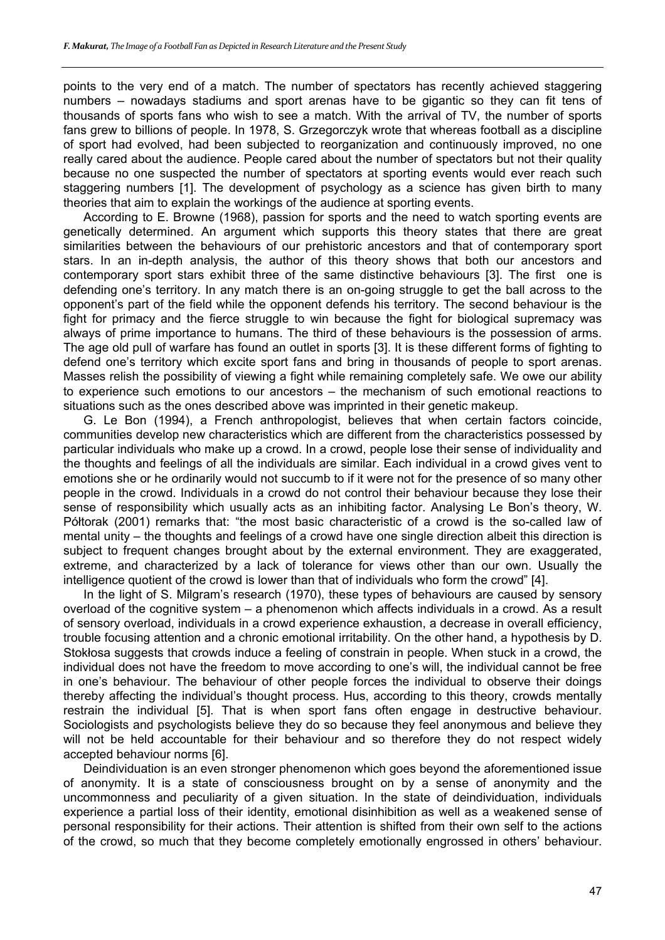points to the very end of a match. The number of spectators has recently achieved staggering numbers – nowadays stadiums and sport arenas have to be gigantic so they can fit tens of thousands of sports fans who wish to see a match. With the arrival of TV, the number of sports fans grew to billions of people. In 1978, S. Grzegorczyk wrote that whereas football as a discipline of sport had evolved, had been subjected to reorganization and continuously improved, no one really cared about the audience. People cared about the number of spectators but not their quality because no one suspected the number of spectators at sporting events would ever reach such staggering numbers [1]. The development of psychology as a science has given birth to many theories that aim to explain the workings of the audience at sporting events.

According to E. Browne (1968), passion for sports and the need to watch sporting events are genetically determined. An argument which supports this theory states that there are great similarities between the behaviours of our prehistoric ancestors and that of contemporary sport stars. In an in-depth analysis, the author of this theory shows that both our ancestors and contemporary sport stars exhibit three of the same distinctive behaviours [3]. The first one is defending one's territory. In any match there is an on-going struggle to get the ball across to the opponent's part of the field while the opponent defends his territory. The second behaviour is the fight for primacy and the fierce struggle to win because the fight for biological supremacy was always of prime importance to humans. The third of these behaviours is the possession of arms. The age old pull of warfare has found an outlet in sports [3]. It is these different forms of fighting to defend one's territory which excite sport fans and bring in thousands of people to sport arenas. Masses relish the possibility of viewing a fight while remaining completely safe. We owe our ability to experience such emotions to our ancestors – the mechanism of such emotional reactions to situations such as the ones described above was imprinted in their genetic makeup.

G. Le Bon (1994), a French anthropologist, believes that when certain factors coincide, communities develop new characteristics which are different from the characteristics possessed by particular individuals who make up a crowd. In a crowd, people lose their sense of individuality and the thoughts and feelings of all the individuals are similar. Each individual in a crowd gives vent to emotions she or he ordinarily would not succumb to if it were not for the presence of so many other people in the crowd. Individuals in a crowd do not control their behaviour because they lose their sense of responsibility which usually acts as an inhibiting factor. Analysing Le Bon's theory, W. Półtorak (2001) remarks that: "the most basic characteristic of a crowd is the so-called law of mental unity – the thoughts and feelings of a crowd have one single direction albeit this direction is subject to frequent changes brought about by the external environment. They are exaggerated, extreme, and characterized by a lack of tolerance for views other than our own. Usually the intelligence quotient of the crowd is lower than that of individuals who form the crowd" [4].

In the light of S. Milgram's research (1970), these types of behaviours are caused by sensory overload of the cognitive system – a phenomenon which affects individuals in a crowd. As a result of sensory overload, individuals in a crowd experience exhaustion, a decrease in overall efficiency, trouble focusing attention and a chronic emotional irritability. On the other hand, a hypothesis by D. Stokłosa suggests that crowds induce a feeling of constrain in people. When stuck in a crowd, the individual does not have the freedom to move according to one's will, the individual cannot be free in one's behaviour. The behaviour of other people forces the individual to observe their doings thereby affecting the individual's thought process. Hus, according to this theory, crowds mentally restrain the individual [5]. That is when sport fans often engage in destructive behaviour. Sociologists and psychologists believe they do so because they feel anonymous and believe they will not be held accountable for their behaviour and so therefore they do not respect widely accepted behaviour norms [6].

Deindividuation is an even stronger phenomenon which goes beyond the aforementioned issue of anonymity. It is a state of consciousness brought on by a sense of anonymity and the uncommonness and peculiarity of a given situation. In the state of deindividuation, individuals experience a partial loss of their identity, emotional disinhibition as well as a weakened sense of personal responsibility for their actions. Their attention is shifted from their own self to the actions of the crowd, so much that they become completely emotionally engrossed in others' behaviour.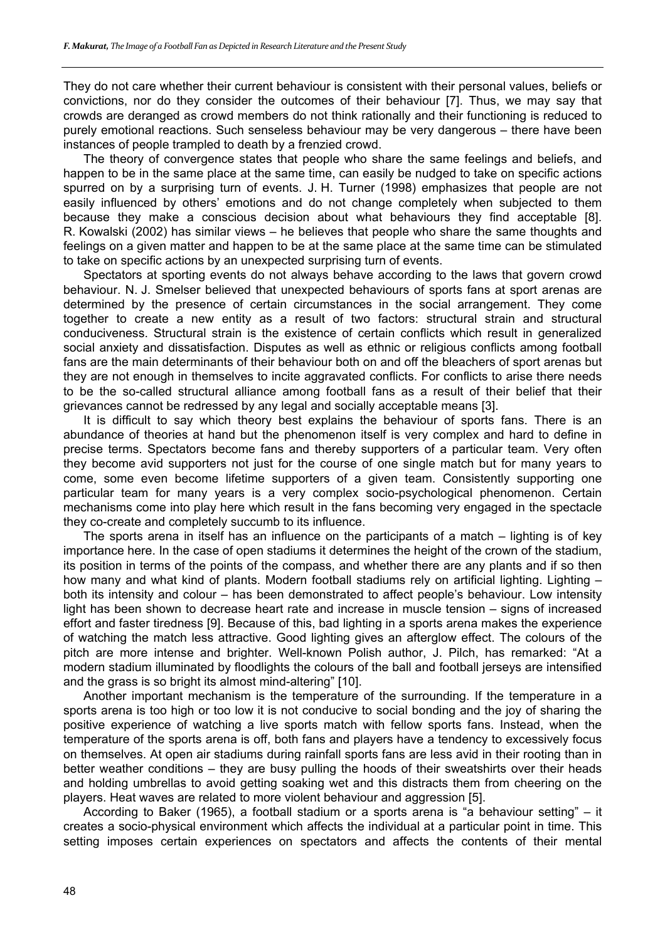They do not care whether their current behaviour is consistent with their personal values, beliefs or convictions, nor do they consider the outcomes of their behaviour [7]. Thus, we may say that crowds are deranged as crowd members do not think rationally and their functioning is reduced to purely emotional reactions. Such senseless behaviour may be very dangerous – there have been instances of people trampled to death by a frenzied crowd.

The theory of convergence states that people who share the same feelings and beliefs, and happen to be in the same place at the same time, can easily be nudged to take on specific actions spurred on by a surprising turn of events. J. H. Turner (1998) emphasizes that people are not easily influenced by others' emotions and do not change completely when subjected to them because they make a conscious decision about what behaviours they find acceptable [8]. R. Kowalski (2002) has similar views – he believes that people who share the same thoughts and feelings on a given matter and happen to be at the same place at the same time can be stimulated to take on specific actions by an unexpected surprising turn of events.

Spectators at sporting events do not always behave according to the laws that govern crowd behaviour. N. J. Smelser believed that unexpected behaviours of sports fans at sport arenas are determined by the presence of certain circumstances in the social arrangement. They come together to create a new entity as a result of two factors: structural strain and structural conduciveness. Structural strain is the existence of certain conflicts which result in generalized social anxiety and dissatisfaction. Disputes as well as ethnic or religious conflicts among football fans are the main determinants of their behaviour both on and off the bleachers of sport arenas but they are not enough in themselves to incite aggravated conflicts. For conflicts to arise there needs to be the so-called structural alliance among football fans as a result of their belief that their grievances cannot be redressed by any legal and socially acceptable means [3].

It is difficult to say which theory best explains the behaviour of sports fans. There is an abundance of theories at hand but the phenomenon itself is very complex and hard to define in precise terms. Spectators become fans and thereby supporters of a particular team. Very often they become avid supporters not just for the course of one single match but for many years to come, some even become lifetime supporters of a given team. Consistently supporting one particular team for many years is a very complex socio-psychological phenomenon. Certain mechanisms come into play here which result in the fans becoming very engaged in the spectacle they co-create and completely succumb to its influence.

The sports arena in itself has an influence on the participants of a match – lighting is of key importance here. In the case of open stadiums it determines the height of the crown of the stadium, its position in terms of the points of the compass, and whether there are any plants and if so then how many and what kind of plants. Modern football stadiums rely on artificial lighting. Lighting – both its intensity and colour – has been demonstrated to affect people's behaviour. Low intensity light has been shown to decrease heart rate and increase in muscle tension – signs of increased effort and faster tiredness [9]. Because of this, bad lighting in a sports arena makes the experience of watching the match less attractive. Good lighting gives an afterglow effect. The colours of the pitch are more intense and brighter. Well-known Polish author, J. Pilch, has remarked: "At a modern stadium illuminated by floodlights the colours of the ball and football jerseys are intensified and the grass is so bright its almost mind-altering" [10].

Another important mechanism is the temperature of the surrounding. If the temperature in a sports arena is too high or too low it is not conducive to social bonding and the joy of sharing the positive experience of watching a live sports match with fellow sports fans. Instead, when the temperature of the sports arena is off, both fans and players have a tendency to excessively focus on themselves. At open air stadiums during rainfall sports fans are less avid in their rooting than in better weather conditions – they are busy pulling the hoods of their sweatshirts over their heads and holding umbrellas to avoid getting soaking wet and this distracts them from cheering on the players. Heat waves are related to more violent behaviour and aggression [5].

According to Baker (1965), a football stadium or a sports arena is "a behaviour setting" – it creates a socio-physical environment which affects the individual at a particular point in time. This setting imposes certain experiences on spectators and affects the contents of their mental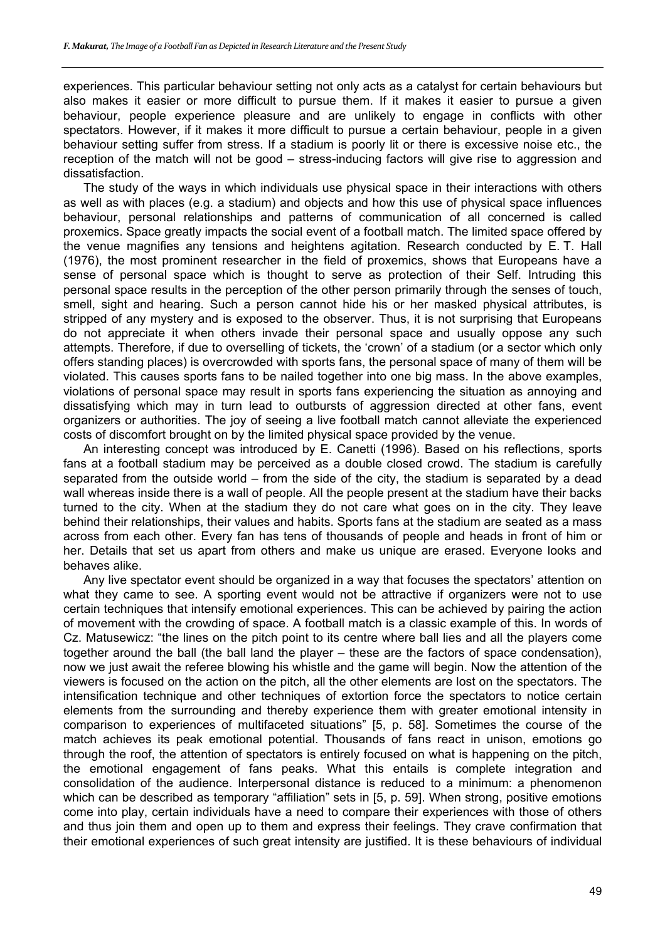experiences. This particular behaviour setting not only acts as a catalyst for certain behaviours but also makes it easier or more difficult to pursue them. If it makes it easier to pursue a given behaviour, people experience pleasure and are unlikely to engage in conflicts with other spectators. However, if it makes it more difficult to pursue a certain behaviour, people in a given behaviour setting suffer from stress. If a stadium is poorly lit or there is excessive noise etc., the reception of the match will not be good – stress-inducing factors will give rise to aggression and dissatisfaction.

The study of the ways in which individuals use physical space in their interactions with others as well as with places (e.g. a stadium) and objects and how this use of physical space influences behaviour, personal relationships and patterns of communication of all concerned is called proxemics. Space greatly impacts the social event of a football match. The limited space offered by the venue magnifies any tensions and heightens agitation. Research conducted by E. T. Hall (1976), the most prominent researcher in the field of proxemics, shows that Europeans have a sense of personal space which is thought to serve as protection of their Self. Intruding this personal space results in the perception of the other person primarily through the senses of touch, smell, sight and hearing. Such a person cannot hide his or her masked physical attributes, is stripped of any mystery and is exposed to the observer. Thus, it is not surprising that Europeans do not appreciate it when others invade their personal space and usually oppose any such attempts. Therefore, if due to overselling of tickets, the 'crown' of a stadium (or a sector which only offers standing places) is overcrowded with sports fans, the personal space of many of them will be violated. This causes sports fans to be nailed together into one big mass. In the above examples, violations of personal space may result in sports fans experiencing the situation as annoying and dissatisfying which may in turn lead to outbursts of aggression directed at other fans, event organizers or authorities. The joy of seeing a live football match cannot alleviate the experienced costs of discomfort brought on by the limited physical space provided by the venue.

An interesting concept was introduced by E. Canetti (1996). Based on his reflections, sports fans at a football stadium may be perceived as a double closed crowd. The stadium is carefully separated from the outside world – from the side of the city, the stadium is separated by a dead wall whereas inside there is a wall of people. All the people present at the stadium have their backs turned to the city. When at the stadium they do not care what goes on in the city. They leave behind their relationships, their values and habits. Sports fans at the stadium are seated as a mass across from each other. Every fan has tens of thousands of people and heads in front of him or her. Details that set us apart from others and make us unique are erased. Everyone looks and behaves alike.

Any live spectator event should be organized in a way that focuses the spectators' attention on what they came to see. A sporting event would not be attractive if organizers were not to use certain techniques that intensify emotional experiences. This can be achieved by pairing the action of movement with the crowding of space. A football match is a classic example of this. In words of Cz. Matusewicz: "the lines on the pitch point to its centre where ball lies and all the players come together around the ball (the ball land the player – these are the factors of space condensation), now we just await the referee blowing his whistle and the game will begin. Now the attention of the viewers is focused on the action on the pitch, all the other elements are lost on the spectators. The intensification technique and other techniques of extortion force the spectators to notice certain elements from the surrounding and thereby experience them with greater emotional intensity in comparison to experiences of multifaceted situations" [5, p. 58]. Sometimes the course of the match achieves its peak emotional potential. Thousands of fans react in unison, emotions go through the roof, the attention of spectators is entirely focused on what is happening on the pitch, the emotional engagement of fans peaks. What this entails is complete integration and consolidation of the audience. Interpersonal distance is reduced to a minimum: a phenomenon which can be described as temporary "affiliation" sets in [5, p. 59]. When strong, positive emotions come into play, certain individuals have a need to compare their experiences with those of others and thus join them and open up to them and express their feelings. They crave confirmation that their emotional experiences of such great intensity are justified. It is these behaviours of individual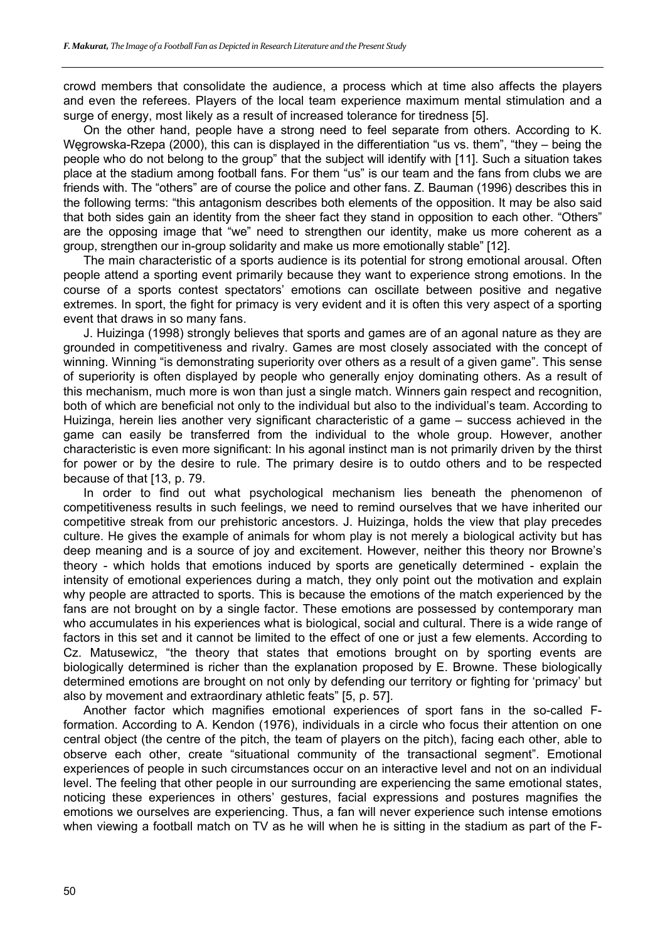crowd members that consolidate the audience, a process which at time also affects the players and even the referees. Players of the local team experience maximum mental stimulation and a surge of energy, most likely as a result of increased tolerance for tiredness [5].

On the other hand, people have a strong need to feel separate from others. According to K. Węgrowska-Rzepa (2000), this can is displayed in the differentiation "us vs. them", "they – being the people who do not belong to the group" that the subject will identify with [11]. Such a situation takes place at the stadium among football fans. For them "us" is our team and the fans from clubs we are friends with. The "others" are of course the police and other fans. Z. Bauman (1996) describes this in the following terms: "this antagonism describes both elements of the opposition. It may be also said that both sides gain an identity from the sheer fact they stand in opposition to each other. "Others" are the opposing image that "we" need to strengthen our identity, make us more coherent as a group, strengthen our in-group solidarity and make us more emotionally stable" [12].

The main characteristic of a sports audience is its potential for strong emotional arousal. Often people attend a sporting event primarily because they want to experience strong emotions. In the course of a sports contest spectators' emotions can oscillate between positive and negative extremes. In sport, the fight for primacy is very evident and it is often this very aspect of a sporting event that draws in so many fans.

J. Huizinga (1998) strongly believes that sports and games are of an agonal nature as they are grounded in competitiveness and rivalry. Games are most closely associated with the concept of winning. Winning "is demonstrating superiority over others as a result of a given game". This sense of superiority is often displayed by people who generally enjoy dominating others. As a result of this mechanism, much more is won than just a single match. Winners gain respect and recognition, both of which are beneficial not only to the individual but also to the individual's team. According to Huizinga, herein lies another very significant characteristic of a game – success achieved in the game can easily be transferred from the individual to the whole group. However, another characteristic is even more significant: In his agonal instinct man is not primarily driven by the thirst for power or by the desire to rule. The primary desire is to outdo others and to be respected because of that [13, p. 79.

In order to find out what psychological mechanism lies beneath the phenomenon of competitiveness results in such feelings, we need to remind ourselves that we have inherited our competitive streak from our prehistoric ancestors. J. Huizinga, holds the view that play precedes culture. He gives the example of animals for whom play is not merely a biological activity but has deep meaning and is a source of joy and excitement. However, neither this theory nor Browne's theory - which holds that emotions induced by sports are genetically determined - explain the intensity of emotional experiences during a match, they only point out the motivation and explain why people are attracted to sports. This is because the emotions of the match experienced by the fans are not brought on by a single factor. These emotions are possessed by contemporary man who accumulates in his experiences what is biological, social and cultural. There is a wide range of factors in this set and it cannot be limited to the effect of one or just a few elements. According to Cz. Matusewicz, "the theory that states that emotions brought on by sporting events are biologically determined is richer than the explanation proposed by E. Browne. These biologically determined emotions are brought on not only by defending our territory or fighting for 'primacy' but also by movement and extraordinary athletic feats" [5, p. 57].

Another factor which magnifies emotional experiences of sport fans in the so-called Fformation. According to A. Kendon (1976), individuals in a circle who focus their attention on one central object (the centre of the pitch, the team of players on the pitch), facing each other, able to observe each other, create "situational community of the transactional segment". Emotional experiences of people in such circumstances occur on an interactive level and not on an individual level. The feeling that other people in our surrounding are experiencing the same emotional states, noticing these experiences in others' gestures, facial expressions and postures magnifies the emotions we ourselves are experiencing. Thus, a fan will never experience such intense emotions when viewing a football match on TV as he will when he is sitting in the stadium as part of the F-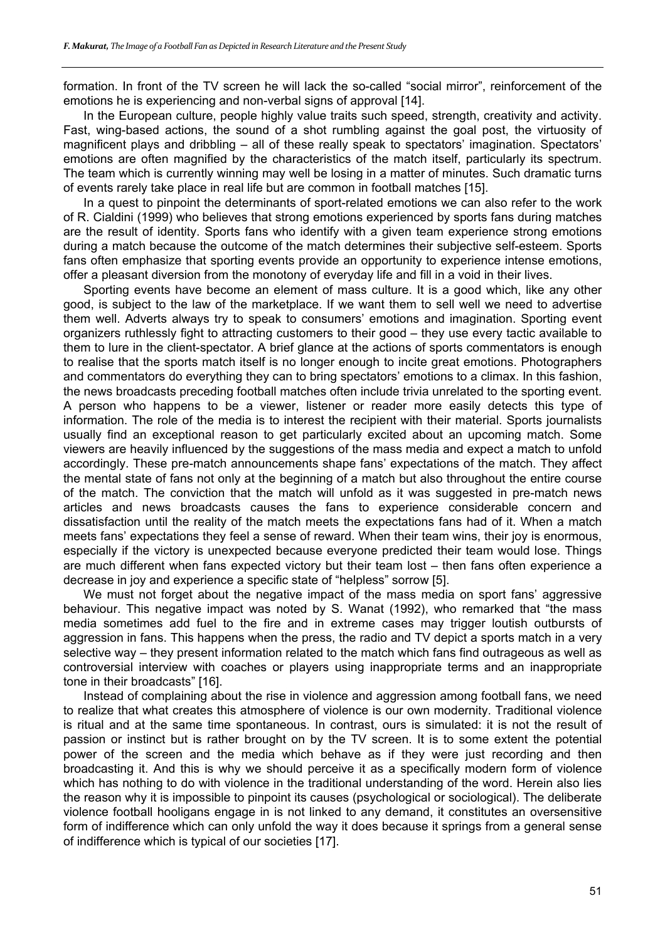formation. In front of the TV screen he will lack the so-called "social mirror", reinforcement of the emotions he is experiencing and non-verbal signs of approval [14].

In the European culture, people highly value traits such speed, strength, creativity and activity. Fast, wing-based actions, the sound of a shot rumbling against the goal post, the virtuosity of magnificent plays and dribbling – all of these really speak to spectators' imagination. Spectators' emotions are often magnified by the characteristics of the match itself, particularly its spectrum. The team which is currently winning may well be losing in a matter of minutes. Such dramatic turns of events rarely take place in real life but are common in football matches [15].

In a quest to pinpoint the determinants of sport-related emotions we can also refer to the work of R. Cialdini (1999) who believes that strong emotions experienced by sports fans during matches are the result of identity. Sports fans who identify with a given team experience strong emotions during a match because the outcome of the match determines their subjective self-esteem. Sports fans often emphasize that sporting events provide an opportunity to experience intense emotions, offer a pleasant diversion from the monotony of everyday life and fill in a void in their lives.

Sporting events have become an element of mass culture. It is a good which, like any other good, is subject to the law of the marketplace. If we want them to sell well we need to advertise them well. Adverts always try to speak to consumers' emotions and imagination. Sporting event organizers ruthlessly fight to attracting customers to their good – they use every tactic available to them to lure in the client-spectator. A brief glance at the actions of sports commentators is enough to realise that the sports match itself is no longer enough to incite great emotions. Photographers and commentators do everything they can to bring spectators' emotions to a climax. In this fashion, the news broadcasts preceding football matches often include trivia unrelated to the sporting event. A person who happens to be a viewer, listener or reader more easily detects this type of information. The role of the media is to interest the recipient with their material. Sports journalists usually find an exceptional reason to get particularly excited about an upcoming match. Some viewers are heavily influenced by the suggestions of the mass media and expect a match to unfold accordingly. These pre-match announcements shape fans' expectations of the match. They affect the mental state of fans not only at the beginning of a match but also throughout the entire course of the match. The conviction that the match will unfold as it was suggested in pre-match news articles and news broadcasts causes the fans to experience considerable concern and dissatisfaction until the reality of the match meets the expectations fans had of it. When a match meets fans' expectations they feel a sense of reward. When their team wins, their joy is enormous, especially if the victory is unexpected because everyone predicted their team would lose. Things are much different when fans expected victory but their team lost – then fans often experience a decrease in joy and experience a specific state of "helpless" sorrow [5].

We must not forget about the negative impact of the mass media on sport fans' aggressive behaviour. This negative impact was noted by S. Wanat (1992), who remarked that "the mass media sometimes add fuel to the fire and in extreme cases may trigger loutish outbursts of aggression in fans. This happens when the press, the radio and TV depict a sports match in a very selective way – they present information related to the match which fans find outrageous as well as controversial interview with coaches or players using inappropriate terms and an inappropriate tone in their broadcasts" [16].

Instead of complaining about the rise in violence and aggression among football fans, we need to realize that what creates this atmosphere of violence is our own modernity. Traditional violence is ritual and at the same time spontaneous. In contrast, ours is simulated: it is not the result of passion or instinct but is rather brought on by the TV screen. It is to some extent the potential power of the screen and the media which behave as if they were just recording and then broadcasting it. And this is why we should perceive it as a specifically modern form of violence which has nothing to do with violence in the traditional understanding of the word. Herein also lies the reason why it is impossible to pinpoint its causes (psychological or sociological). The deliberate violence football hooligans engage in is not linked to any demand, it constitutes an oversensitive form of indifference which can only unfold the way it does because it springs from a general sense of indifference which is typical of our societies [17].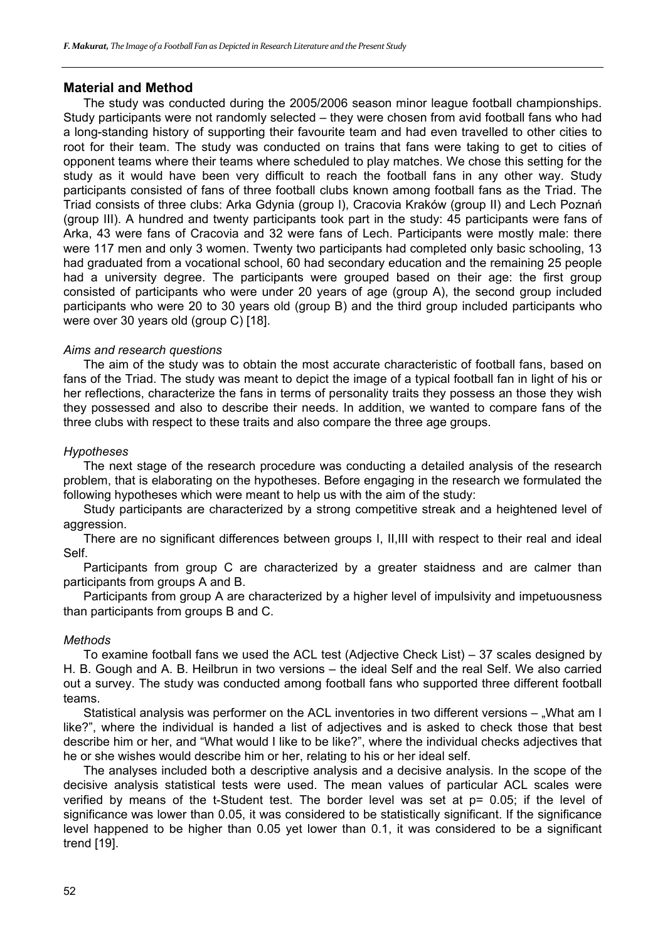#### **Material and Method**

The study was conducted during the 2005/2006 season minor league football championships. Study participants were not randomly selected – they were chosen from avid football fans who had a long-standing history of supporting their favourite team and had even travelled to other cities to root for their team. The study was conducted on trains that fans were taking to get to cities of opponent teams where their teams where scheduled to play matches. We chose this setting for the study as it would have been very difficult to reach the football fans in any other way. Study participants consisted of fans of three football clubs known among football fans as the Triad. The Triad consists of three clubs: Arka Gdynia (group I), Cracovia Kraków (group II) and Lech Poznań (group III). A hundred and twenty participants took part in the study: 45 participants were fans of Arka, 43 were fans of Cracovia and 32 were fans of Lech. Participants were mostly male: there were 117 men and only 3 women. Twenty two participants had completed only basic schooling, 13 had graduated from a vocational school, 60 had secondary education and the remaining 25 people had a university degree. The participants were grouped based on their age: the first group consisted of participants who were under 20 years of age (group A), the second group included participants who were 20 to 30 years old (group B) and the third group included participants who were over 30 years old (group C) [18].

#### *Aims and research questions*

The aim of the study was to obtain the most accurate characteristic of football fans, based on fans of the Triad. The study was meant to depict the image of a typical football fan in light of his or her reflections, characterize the fans in terms of personality traits they possess an those they wish they possessed and also to describe their needs. In addition, we wanted to compare fans of the three clubs with respect to these traits and also compare the three age groups.

#### *Hypotheses*

The next stage of the research procedure was conducting a detailed analysis of the research problem, that is elaborating on the hypotheses. Before engaging in the research we formulated the following hypotheses which were meant to help us with the aim of the study:

Study participants are characterized by a strong competitive streak and a heightened level of aggression.

There are no significant differences between groups I, II,III with respect to their real and ideal Self.

Participants from group C are characterized by a greater staidness and are calmer than participants from groups A and B.

Participants from group A are characterized by a higher level of impulsivity and impetuousness than participants from groups B and C.

#### *Methods*

To examine football fans we used the ACL test (Adjective Check List) – 37 scales designed by H. B. Gough and A. B. Heilbrun in two versions – the ideal Self and the real Self. We also carried out a survey. The study was conducted among football fans who supported three different football teams.

Statistical analysis was performer on the ACL inventories in two different versions  $-$  "What am I like?", where the individual is handed a list of adjectives and is asked to check those that best describe him or her, and "What would I like to be like?", where the individual checks adjectives that he or she wishes would describe him or her, relating to his or her ideal self.

The analyses included both a descriptive analysis and a decisive analysis. In the scope of the decisive analysis statistical tests were used. The mean values of particular ACL scales were verified by means of the t-Student test. The border level was set at p= 0.05; if the level of significance was lower than 0.05, it was considered to be statistically significant. If the significance level happened to be higher than 0.05 yet lower than 0.1, it was considered to be a significant trend [19].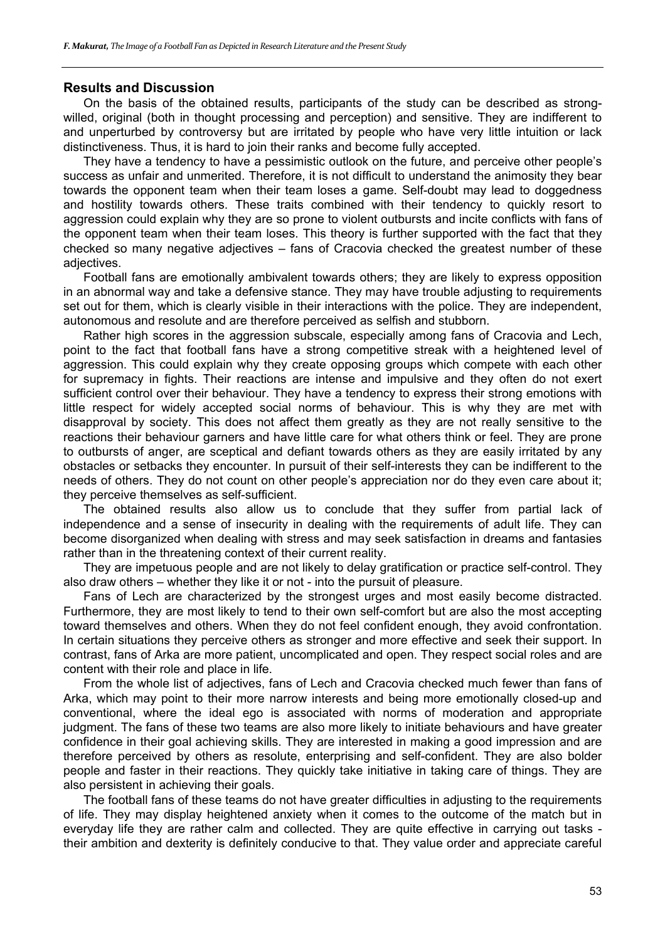## **Results and Discussion**

On the basis of the obtained results, participants of the study can be described as strongwilled, original (both in thought processing and perception) and sensitive. They are indifferent to and unperturbed by controversy but are irritated by people who have very little intuition or lack distinctiveness. Thus, it is hard to join their ranks and become fully accepted.

They have a tendency to have a pessimistic outlook on the future, and perceive other people's success as unfair and unmerited. Therefore, it is not difficult to understand the animosity they bear towards the opponent team when their team loses a game. Self-doubt may lead to doggedness and hostility towards others. These traits combined with their tendency to quickly resort to aggression could explain why they are so prone to violent outbursts and incite conflicts with fans of the opponent team when their team loses. This theory is further supported with the fact that they checked so many negative adjectives – fans of Cracovia checked the greatest number of these adjectives.

Football fans are emotionally ambivalent towards others; they are likely to express opposition in an abnormal way and take a defensive stance. They may have trouble adjusting to requirements set out for them, which is clearly visible in their interactions with the police. They are independent, autonomous and resolute and are therefore perceived as selfish and stubborn.

Rather high scores in the aggression subscale, especially among fans of Cracovia and Lech, point to the fact that football fans have a strong competitive streak with a heightened level of aggression. This could explain why they create opposing groups which compete with each other for supremacy in fights. Their reactions are intense and impulsive and they often do not exert sufficient control over their behaviour. They have a tendency to express their strong emotions with little respect for widely accepted social norms of behaviour. This is why they are met with disapproval by society. This does not affect them greatly as they are not really sensitive to the reactions their behaviour garners and have little care for what others think or feel. They are prone to outbursts of anger, are sceptical and defiant towards others as they are easily irritated by any obstacles or setbacks they encounter. In pursuit of their self-interests they can be indifferent to the needs of others. They do not count on other people's appreciation nor do they even care about it; they perceive themselves as self-sufficient.

The obtained results also allow us to conclude that they suffer from partial lack of independence and a sense of insecurity in dealing with the requirements of adult life. They can become disorganized when dealing with stress and may seek satisfaction in dreams and fantasies rather than in the threatening context of their current reality.

They are impetuous people and are not likely to delay gratification or practice self-control. They also draw others – whether they like it or not - into the pursuit of pleasure.

Fans of Lech are characterized by the strongest urges and most easily become distracted. Furthermore, they are most likely to tend to their own self-comfort but are also the most accepting toward themselves and others. When they do not feel confident enough, they avoid confrontation. In certain situations they perceive others as stronger and more effective and seek their support. In contrast, fans of Arka are more patient, uncomplicated and open. They respect social roles and are content with their role and place in life.

From the whole list of adjectives, fans of Lech and Cracovia checked much fewer than fans of Arka, which may point to their more narrow interests and being more emotionally closed-up and conventional, where the ideal ego is associated with norms of moderation and appropriate judgment. The fans of these two teams are also more likely to initiate behaviours and have greater confidence in their goal achieving skills. They are interested in making a good impression and are therefore perceived by others as resolute, enterprising and self-confident. They are also bolder people and faster in their reactions. They quickly take initiative in taking care of things. They are also persistent in achieving their goals.

The football fans of these teams do not have greater difficulties in adjusting to the requirements of life. They may display heightened anxiety when it comes to the outcome of the match but in everyday life they are rather calm and collected. They are quite effective in carrying out tasks their ambition and dexterity is definitely conducive to that. They value order and appreciate careful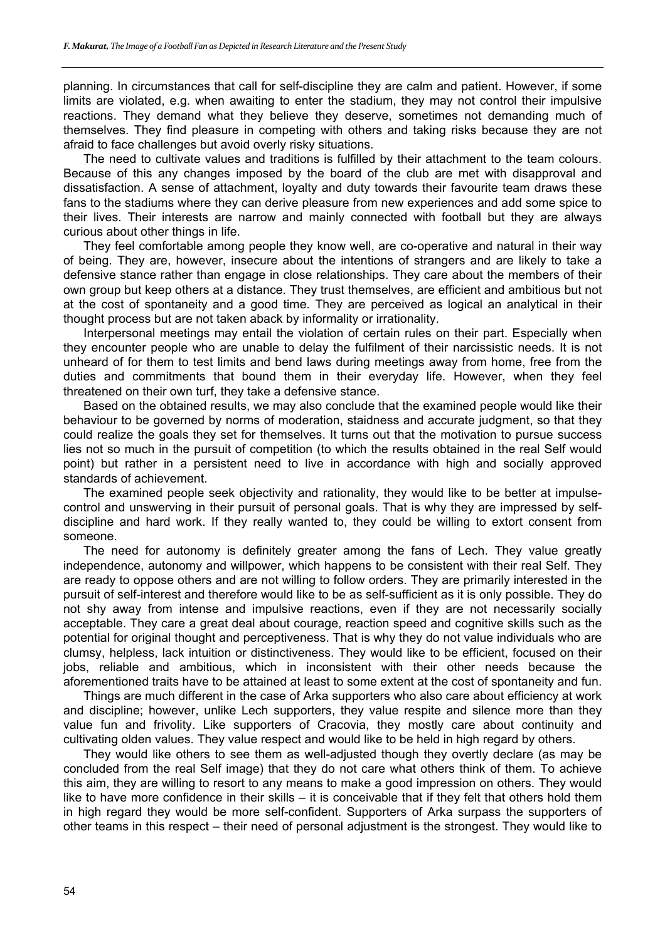planning. In circumstances that call for self-discipline they are calm and patient. However, if some limits are violated, e.g. when awaiting to enter the stadium, they may not control their impulsive reactions. They demand what they believe they deserve, sometimes not demanding much of themselves. They find pleasure in competing with others and taking risks because they are not afraid to face challenges but avoid overly risky situations.

The need to cultivate values and traditions is fulfilled by their attachment to the team colours. Because of this any changes imposed by the board of the club are met with disapproval and dissatisfaction. A sense of attachment, loyalty and duty towards their favourite team draws these fans to the stadiums where they can derive pleasure from new experiences and add some spice to their lives. Their interests are narrow and mainly connected with football but they are always curious about other things in life.

They feel comfortable among people they know well, are co-operative and natural in their way of being. They are, however, insecure about the intentions of strangers and are likely to take a defensive stance rather than engage in close relationships. They care about the members of their own group but keep others at a distance. They trust themselves, are efficient and ambitious but not at the cost of spontaneity and a good time. They are perceived as logical an analytical in their thought process but are not taken aback by informality or irrationality.

Interpersonal meetings may entail the violation of certain rules on their part. Especially when they encounter people who are unable to delay the fulfilment of their narcissistic needs. It is not unheard of for them to test limits and bend laws during meetings away from home, free from the duties and commitments that bound them in their everyday life. However, when they feel threatened on their own turf, they take a defensive stance.

Based on the obtained results, we may also conclude that the examined people would like their behaviour to be governed by norms of moderation, staidness and accurate judgment, so that they could realize the goals they set for themselves. It turns out that the motivation to pursue success lies not so much in the pursuit of competition (to which the results obtained in the real Self would point) but rather in a persistent need to live in accordance with high and socially approved standards of achievement.

The examined people seek objectivity and rationality, they would like to be better at impulsecontrol and unswerving in their pursuit of personal goals. That is why they are impressed by selfdiscipline and hard work. If they really wanted to, they could be willing to extort consent from someone.

The need for autonomy is definitely greater among the fans of Lech. They value greatly independence, autonomy and willpower, which happens to be consistent with their real Self. They are ready to oppose others and are not willing to follow orders. They are primarily interested in the pursuit of self-interest and therefore would like to be as self-sufficient as it is only possible. They do not shy away from intense and impulsive reactions, even if they are not necessarily socially acceptable. They care a great deal about courage, reaction speed and cognitive skills such as the potential for original thought and perceptiveness. That is why they do not value individuals who are clumsy, helpless, lack intuition or distinctiveness. They would like to be efficient, focused on their jobs, reliable and ambitious, which in inconsistent with their other needs because the aforementioned traits have to be attained at least to some extent at the cost of spontaneity and fun.

Things are much different in the case of Arka supporters who also care about efficiency at work and discipline; however, unlike Lech supporters, they value respite and silence more than they value fun and frivolity. Like supporters of Cracovia, they mostly care about continuity and cultivating olden values. They value respect and would like to be held in high regard by others.

They would like others to see them as well-adjusted though they overtly declare (as may be concluded from the real Self image) that they do not care what others think of them. To achieve this aim, they are willing to resort to any means to make a good impression on others. They would like to have more confidence in their skills – it is conceivable that if they felt that others hold them in high regard they would be more self-confident. Supporters of Arka surpass the supporters of other teams in this respect – their need of personal adjustment is the strongest. They would like to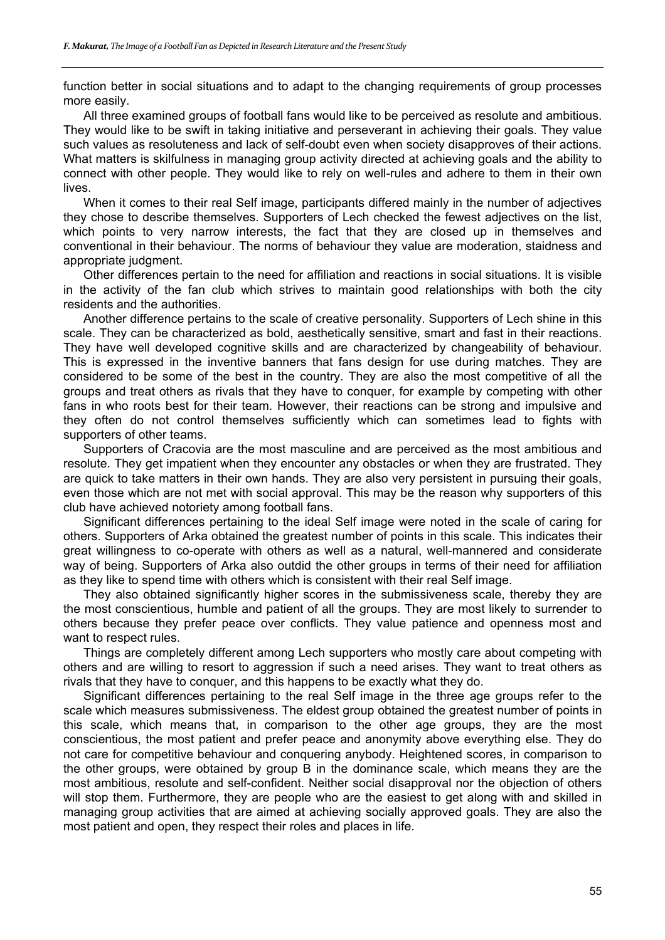function better in social situations and to adapt to the changing requirements of group processes more easily.

All three examined groups of football fans would like to be perceived as resolute and ambitious. They would like to be swift in taking initiative and perseverant in achieving their goals. They value such values as resoluteness and lack of self-doubt even when society disapproves of their actions. What matters is skilfulness in managing group activity directed at achieving goals and the ability to connect with other people. They would like to rely on well-rules and adhere to them in their own lives.

When it comes to their real Self image, participants differed mainly in the number of adjectives they chose to describe themselves. Supporters of Lech checked the fewest adjectives on the list, which points to very narrow interests, the fact that they are closed up in themselves and conventional in their behaviour. The norms of behaviour they value are moderation, staidness and appropriate judgment.

Other differences pertain to the need for affiliation and reactions in social situations. It is visible in the activity of the fan club which strives to maintain good relationships with both the city residents and the authorities.

Another difference pertains to the scale of creative personality. Supporters of Lech shine in this scale. They can be characterized as bold, aesthetically sensitive, smart and fast in their reactions. They have well developed cognitive skills and are characterized by changeability of behaviour. This is expressed in the inventive banners that fans design for use during matches. They are considered to be some of the best in the country. They are also the most competitive of all the groups and treat others as rivals that they have to conquer, for example by competing with other fans in who roots best for their team. However, their reactions can be strong and impulsive and they often do not control themselves sufficiently which can sometimes lead to fights with supporters of other teams.

Supporters of Cracovia are the most masculine and are perceived as the most ambitious and resolute. They get impatient when they encounter any obstacles or when they are frustrated. They are quick to take matters in their own hands. They are also very persistent in pursuing their goals, even those which are not met with social approval. This may be the reason why supporters of this club have achieved notoriety among football fans.

Significant differences pertaining to the ideal Self image were noted in the scale of caring for others. Supporters of Arka obtained the greatest number of points in this scale. This indicates their great willingness to co-operate with others as well as a natural, well-mannered and considerate way of being. Supporters of Arka also outdid the other groups in terms of their need for affiliation as they like to spend time with others which is consistent with their real Self image.

They also obtained significantly higher scores in the submissiveness scale, thereby they are the most conscientious, humble and patient of all the groups. They are most likely to surrender to others because they prefer peace over conflicts. They value patience and openness most and want to respect rules.

Things are completely different among Lech supporters who mostly care about competing with others and are willing to resort to aggression if such a need arises. They want to treat others as rivals that they have to conquer, and this happens to be exactly what they do.

Significant differences pertaining to the real Self image in the three age groups refer to the scale which measures submissiveness. The eldest group obtained the greatest number of points in this scale, which means that, in comparison to the other age groups, they are the most conscientious, the most patient and prefer peace and anonymity above everything else. They do not care for competitive behaviour and conquering anybody. Heightened scores, in comparison to the other groups, were obtained by group B in the dominance scale, which means they are the most ambitious, resolute and self-confident. Neither social disapproval nor the objection of others will stop them. Furthermore, they are people who are the easiest to get along with and skilled in managing group activities that are aimed at achieving socially approved goals. They are also the most patient and open, they respect their roles and places in life.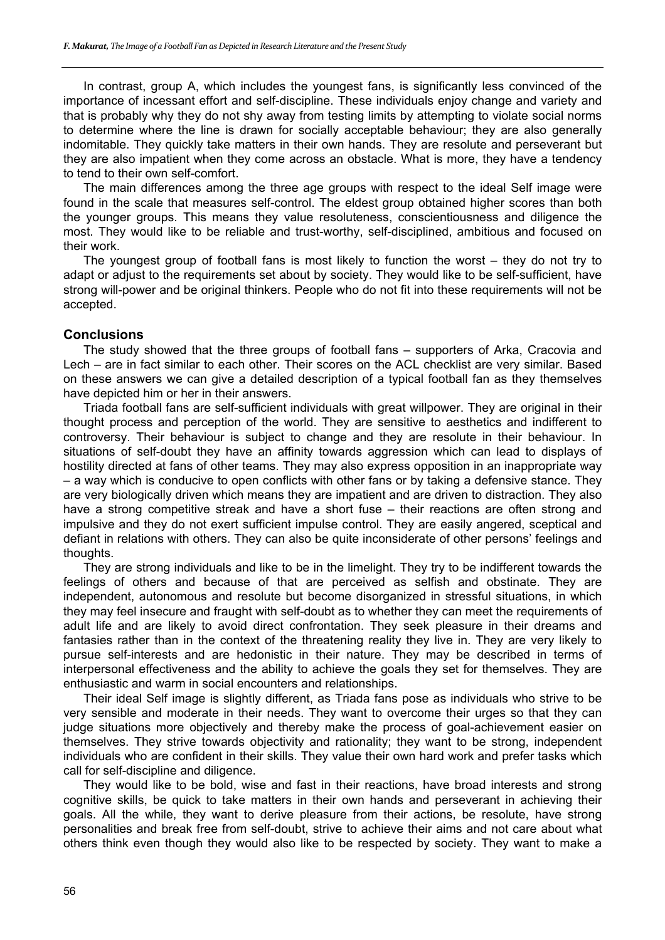In contrast, group A, which includes the youngest fans, is significantly less convinced of the importance of incessant effort and self-discipline. These individuals enjoy change and variety and that is probably why they do not shy away from testing limits by attempting to violate social norms to determine where the line is drawn for socially acceptable behaviour; they are also generally indomitable. They quickly take matters in their own hands. They are resolute and perseverant but they are also impatient when they come across an obstacle. What is more, they have a tendency to tend to their own self-comfort.

The main differences among the three age groups with respect to the ideal Self image were found in the scale that measures self-control. The eldest group obtained higher scores than both the younger groups. This means they value resoluteness, conscientiousness and diligence the most. They would like to be reliable and trust-worthy, self-disciplined, ambitious and focused on their work.

The youngest group of football fans is most likely to function the worst – they do not try to adapt or adjust to the requirements set about by society. They would like to be self-sufficient, have strong will-power and be original thinkers. People who do not fit into these requirements will not be accepted.

### **Conclusions**

The study showed that the three groups of football fans – supporters of Arka, Cracovia and Lech – are in fact similar to each other. Their scores on the ACL checklist are very similar. Based on these answers we can give a detailed description of a typical football fan as they themselves have depicted him or her in their answers.

Triada football fans are self-sufficient individuals with great willpower. They are original in their thought process and perception of the world. They are sensitive to aesthetics and indifferent to controversy. Their behaviour is subject to change and they are resolute in their behaviour. In situations of self-doubt they have an affinity towards aggression which can lead to displays of hostility directed at fans of other teams. They may also express opposition in an inappropriate way – a way which is conducive to open conflicts with other fans or by taking a defensive stance. They are very biologically driven which means they are impatient and are driven to distraction. They also have a strong competitive streak and have a short fuse – their reactions are often strong and impulsive and they do not exert sufficient impulse control. They are easily angered, sceptical and defiant in relations with others. They can also be quite inconsiderate of other persons' feelings and thoughts.

They are strong individuals and like to be in the limelight. They try to be indifferent towards the feelings of others and because of that are perceived as selfish and obstinate. They are independent, autonomous and resolute but become disorganized in stressful situations, in which they may feel insecure and fraught with self-doubt as to whether they can meet the requirements of adult life and are likely to avoid direct confrontation. They seek pleasure in their dreams and fantasies rather than in the context of the threatening reality they live in. They are very likely to pursue self-interests and are hedonistic in their nature. They may be described in terms of interpersonal effectiveness and the ability to achieve the goals they set for themselves. They are enthusiastic and warm in social encounters and relationships.

Their ideal Self image is slightly different, as Triada fans pose as individuals who strive to be very sensible and moderate in their needs. They want to overcome their urges so that they can judge situations more objectively and thereby make the process of goal-achievement easier on themselves. They strive towards objectivity and rationality; they want to be strong, independent individuals who are confident in their skills. They value their own hard work and prefer tasks which call for self-discipline and diligence.

They would like to be bold, wise and fast in their reactions, have broad interests and strong cognitive skills, be quick to take matters in their own hands and perseverant in achieving their goals. All the while, they want to derive pleasure from their actions, be resolute, have strong personalities and break free from self-doubt, strive to achieve their aims and not care about what others think even though they would also like to be respected by society. They want to make a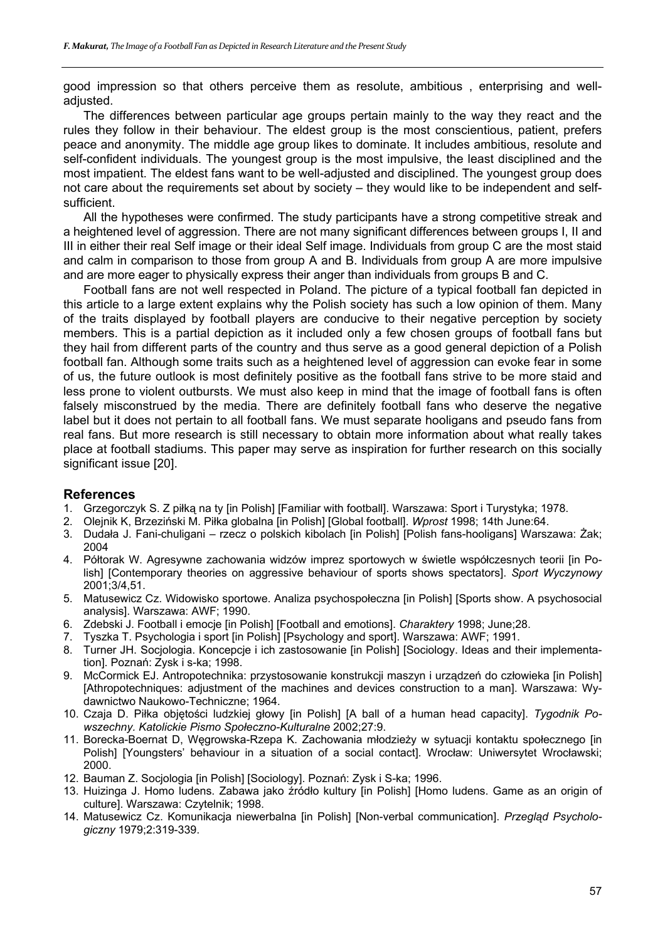good impression so that others perceive them as resolute, ambitious , enterprising and welladjusted.

The differences between particular age groups pertain mainly to the way they react and the rules they follow in their behaviour. The eldest group is the most conscientious, patient, prefers peace and anonymity. The middle age group likes to dominate. It includes ambitious, resolute and self-confident individuals. The youngest group is the most impulsive, the least disciplined and the most impatient. The eldest fans want to be well-adjusted and disciplined. The youngest group does not care about the requirements set about by society – they would like to be independent and selfsufficient.

All the hypotheses were confirmed. The study participants have a strong competitive streak and a heightened level of aggression. There are not many significant differences between groups I, II and III in either their real Self image or their ideal Self image. Individuals from group C are the most staid and calm in comparison to those from group A and B. Individuals from group A are more impulsive and are more eager to physically express their anger than individuals from groups B and C.

Football fans are not well respected in Poland. The picture of a typical football fan depicted in this article to a large extent explains why the Polish society has such a low opinion of them. Many of the traits displayed by football players are conducive to their negative perception by society members. This is a partial depiction as it included only a few chosen groups of football fans but they hail from different parts of the country and thus serve as a good general depiction of a Polish football fan. Although some traits such as a heightened level of aggression can evoke fear in some of us, the future outlook is most definitely positive as the football fans strive to be more staid and less prone to violent outbursts. We must also keep in mind that the image of football fans is often falsely misconstrued by the media. There are definitely football fans who deserve the negative label but it does not pertain to all football fans. We must separate hooligans and pseudo fans from real fans. But more research is still necessary to obtain more information about what really takes place at football stadiums. This paper may serve as inspiration for further research on this socially significant issue [20].

#### **References**

- 1. Grzegorczyk S. Z piłką na ty [in Polish] [Familiar with football]. Warszawa: Sport i Turystyka; 1978.
- 2. Olejnik K, Brzeziński M. Piłka globalna [in Polish] [Global football]. *Wprost* 1998; 14th June:64.
- 3. Dudała J. Fani-chuligani rzecz o polskich kibolach [in Polish] [Polish fans-hooligans] Warszawa: Żak; 2004
- 4. Półtorak W. Agresywne zachowania widzów imprez sportowych w świetle współczesnych teorii [in Polish] [Contemporary theories on aggressive behaviour of sports shows spectators]. *Sport Wyczynowy* 2001;3/4,51.
- 5. Matusewicz Cz. Widowisko sportowe. Analiza psychospołeczna [in Polish] [Sports show. A psychosocial analysis]. Warszawa: AWF; 1990.
- 6. Zdebski J. Football i emocje [in Polish] [Football and emotions]. *Charaktery* 1998; June;28.
- 7. Tyszka T. Psychologia i sport [in Polish] [Psychology and sport]. Warszawa: AWF; 1991.
- 8. Turner JH. Socjologia. Koncepcje i ich zastosowanie [in Polish] [Sociology. Ideas and their implementation]. Poznań: Zysk i s-ka; 1998.
- 9. McCormick EJ. Antropotechnika: przystosowanie konstrukcji maszyn i urządzeń do człowieka [in Polish] [Athropotechniques: adjustment of the machines and devices construction to a man]. Warszawa: Wydawnictwo Naukowo-Techniczne; 1964.
- 10. Czaja D. Piłka objętości ludzkiej głowy [in Polish] [A ball of a human head capacity]. *Tygodnik Powszechny. Katolickie Pismo Społeczno-Kulturalne* 2002;27:9.
- 11. Borecka-Boernat D, Węgrowska-Rzepa K. Zachowania młodzieży w sytuacji kontaktu społecznego [in Polish] [Youngsters' behaviour in a situation of a social contact]. Wrocław: Uniwersytet Wrocławski; 2000.
- 12. Bauman Z. Socjologia [in Polish] [Sociology]. Poznań: Zysk i S-ka; 1996.
- 13. Huizinga J. Homo ludens. Zabawa jako źródło kultury [in Polish] [Homo ludens. Game as an origin of culture]. Warszawa: Czytelnik; 1998.
- 14. Matusewicz Cz. Komunikacja niewerbalna [in Polish] [Non-verbal communication]. *Przegląd Psychologiczny* 1979;2:319-339.